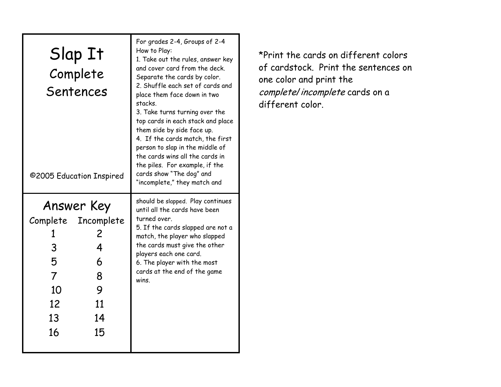| Slap It<br>Complete<br>Sentences<br>©2005 Education Inspired                                                                                 | For grades 2-4, Groups of 2-4<br>How to Play:<br>1. Take out the rules, answer key<br>and cover card from the deck.<br>Separate the cards by color.<br>2. Shuffle each set of cards and<br>place them face down in two<br>stacks.<br>3. Take turns turning over the<br>top cards in each stack and place<br>them side by side face up.<br>4. If the cards match, the first<br>person to slap in the middle of<br>the cards wins all the cards in<br>the piles. For example, if the<br>cards show "The dog" and<br>"incomplete," they match and |
|----------------------------------------------------------------------------------------------------------------------------------------------|------------------------------------------------------------------------------------------------------------------------------------------------------------------------------------------------------------------------------------------------------------------------------------------------------------------------------------------------------------------------------------------------------------------------------------------------------------------------------------------------------------------------------------------------|
| Answer Key<br>Complete Incomplete<br>╱<br>3<br>4<br>5<br>6<br>$\overline{7}$<br>8<br>1 <sub>O</sub><br>9<br>12<br>11<br>13<br>14<br>16<br>15 | should be slapped. Play continues<br>until all the cards have been<br>turned over.<br>5. If the cards slapped are not a<br>match, the player who slapped<br>the cards must give the other<br>players each one card.<br>6. The player with the most<br>cards at the end of the game<br>wins                                                                                                                                                                                                                                                     |

\*Print the cards on different colors of cardstock. Print the sentences on one color and print the complete/incomplete cards on a different color.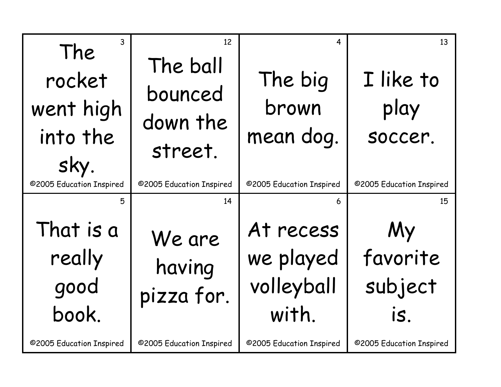| 3<br>The<br>rocket<br>went high<br>into the<br>sky.<br>@2005 Education Inspired | 12<br>The ball<br>bounced<br>down the<br>street.<br>©2005 Education Inspired | 4<br>The big<br>brown<br>mean dog.<br>@2005 Education Inspired | 13<br>I like to<br>play<br>soccer.<br>©2005 Education Inspired |
|---------------------------------------------------------------------------------|------------------------------------------------------------------------------|----------------------------------------------------------------|----------------------------------------------------------------|
| 5                                                                               | 14                                                                           | 6                                                              | 15                                                             |
| That is a<br>really<br>good<br>book.                                            | We are<br>having<br>pizza for.                                               | At recess<br>we played<br>volleyball<br>with.                  | My<br>favorite<br>subject<br>is.                               |
| ©2005 Education Inspired                                                        | @2005 Education Inspired                                                     | ©2005 Education Inspired                                       | ©2005 Education Inspired                                       |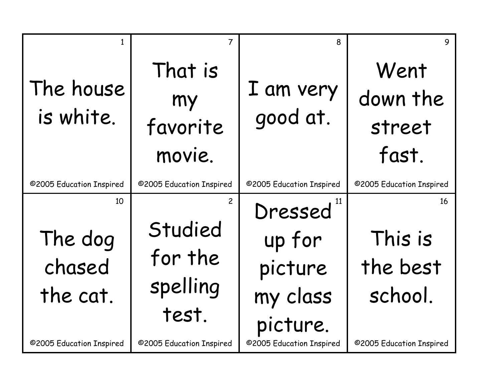| The house<br>is white.              | $\overline{7}$<br>That is<br>my<br>favorite<br>movie.     | 8<br>I am very<br>good at.                           | 9<br>Went<br>down the<br>street<br>fast. |
|-------------------------------------|-----------------------------------------------------------|------------------------------------------------------|------------------------------------------|
| ©2005 Education Inspired            | ©2005 Education Inspired                                  | ©2005 Education Inspired                             | ©2005 Education Inspired                 |
| 10<br>The dog<br>chased<br>the cat. | $\overline{2}$<br>Studied<br>for the<br>spelling<br>test. | Dressed<br>up for<br>picture<br>my class<br>picture. | 16<br>This is<br>the best<br>school.     |
| ©2005 Education Inspired            | ©2005 Education Inspired                                  | ©2005 Education Inspired                             | ©2005 Education Inspired                 |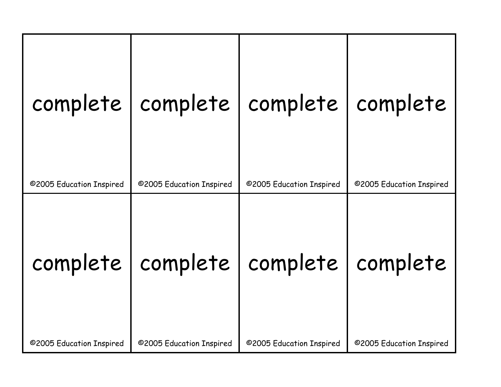| ©2005 Education Inspired | complete   complete   complete<br>©2005 Education Inspired | ©2005 Education Inspired | complete<br>©2005 Education Inspired |
|--------------------------|------------------------------------------------------------|--------------------------|--------------------------------------|
| complete                 | complete                                                   | complete                 | complete                             |
| ©2005 Education Inspired | @2005 Education Inspired                                   | ©2005 Education Inspired | @2005 Education Inspired             |